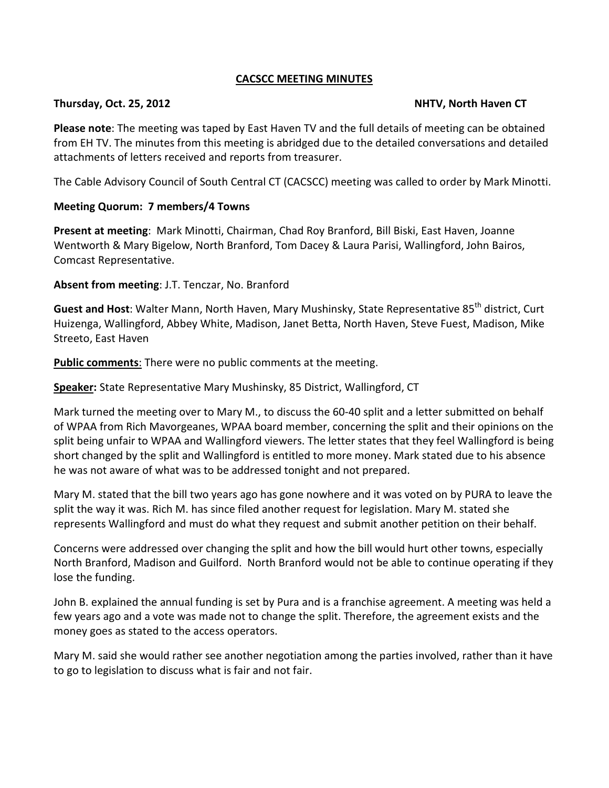### **CACSCC MEETING MINUTES**

#### Thursday, Oct. 25, 2012 **NHTV, North Haven CT**

**Please note**: The meeting was taped by East Haven TV and the full details of meeting can be obtained from EH TV. The minutes from this meeting is abridged due to the detailed conversations and detailed attachments of letters received and reports from treasurer.

The Cable Advisory Council of South Central CT (CACSCC) meeting was called to order by Mark Minotti.

## **Meeting Quorum: 7 members/4 Towns**

**Present at meeting**: Mark Minotti, Chairman, Chad Roy Branford, Bill Biski, East Haven, Joanne Wentworth & Mary Bigelow, North Branford, Tom Dacey & Laura Parisi, Wallingford, John Bairos, Comcast Representative.

**Absent from meeting**: J.T. Tenczar, No. Branford

**Guest and Host**: Walter Mann, North Haven, Mary Mushinsky, State Representative 85<sup>th</sup> district, Curt Huizenga, Wallingford, Abbey White, Madison, Janet Betta, North Haven, Steve Fuest, Madison, Mike Streeto, East Haven

**Public comments:** There were no public comments at the meeting.

**Speaker:** State Representative Mary Mushinsky, 85 District, Wallingford, CT

Mark turned the meeting over to Mary M., to discuss the 60-40 split and a letter submitted on behalf of WPAA from Rich Mavorgeanes, WPAA board member, concerning the split and their opinions on the split being unfair to WPAA and Wallingford viewers. The letter states that they feel Wallingford is being short changed by the split and Wallingford is entitled to more money. Mark stated due to his absence he was not aware of what was to be addressed tonight and not prepared.

Mary M. stated that the bill two years ago has gone nowhere and it was voted on by PURA to leave the split the way it was. Rich M. has since filed another request for legislation. Mary M. stated she represents Wallingford and must do what they request and submit another petition on their behalf.

Concerns were addressed over changing the split and how the bill would hurt other towns, especially North Branford, Madison and Guilford. North Branford would not be able to continue operating if they lose the funding.

John B. explained the annual funding is set by Pura and is a franchise agreement. A meeting was held a few years ago and a vote was made not to change the split. Therefore, the agreement exists and the money goes as stated to the access operators.

Mary M. said she would rather see another negotiation among the parties involved, rather than it have to go to legislation to discuss what is fair and not fair.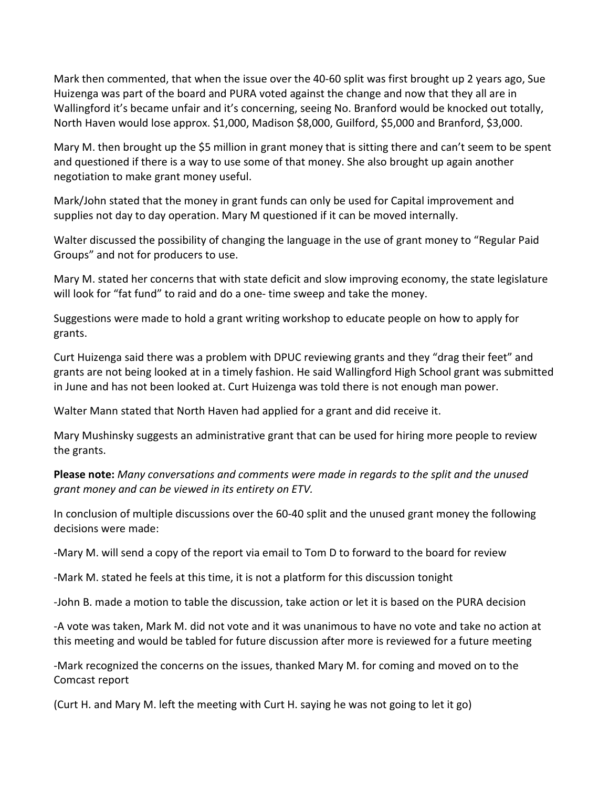Mark then commented, that when the issue over the 40-60 split was first brought up 2 years ago, Sue Huizenga was part of the board and PURA voted against the change and now that they all are in Wallingford it's became unfair and it's concerning, seeing No. Branford would be knocked out totally, North Haven would lose approx. \$1,000, Madison \$8,000, Guilford, \$5,000 and Branford, \$3,000.

Mary M. then brought up the \$5 million in grant money that is sitting there and can't seem to be spent and questioned if there is a way to use some of that money. She also brought up again another negotiation to make grant money useful.

Mark/John stated that the money in grant funds can only be used for Capital improvement and supplies not day to day operation. Mary M questioned if it can be moved internally.

Walter discussed the possibility of changing the language in the use of grant money to "Regular Paid Groups" and not for producers to use.

Mary M. stated her concerns that with state deficit and slow improving economy, the state legislature will look for "fat fund" to raid and do a one- time sweep and take the money.

Suggestions were made to hold a grant writing workshop to educate people on how to apply for grants.

Curt Huizenga said there was a problem with DPUC reviewing grants and they "drag their feet" and grants are not being looked at in a timely fashion. He said Wallingford High School grant was submitted in June and has not been looked at. Curt Huizenga was told there is not enough man power.

Walter Mann stated that North Haven had applied for a grant and did receive it.

Mary Mushinsky suggests an administrative grant that can be used for hiring more people to review the grants.

**Please note:** *Many conversations and comments were made in regards to the split and the unused grant money and can be viewed in its entirety on ETV.* 

In conclusion of multiple discussions over the 60-40 split and the unused grant money the following decisions were made:

-Mary M. will send a copy of the report via email to Tom D to forward to the board for review

-Mark M. stated he feels at this time, it is not a platform for this discussion tonight

-John B. made a motion to table the discussion, take action or let it is based on the PURA decision

-A vote was taken, Mark M. did not vote and it was unanimous to have no vote and take no action at this meeting and would be tabled for future discussion after more is reviewed for a future meeting

-Mark recognized the concerns on the issues, thanked Mary M. for coming and moved on to the Comcast report

(Curt H. and Mary M. left the meeting with Curt H. saying he was not going to let it go)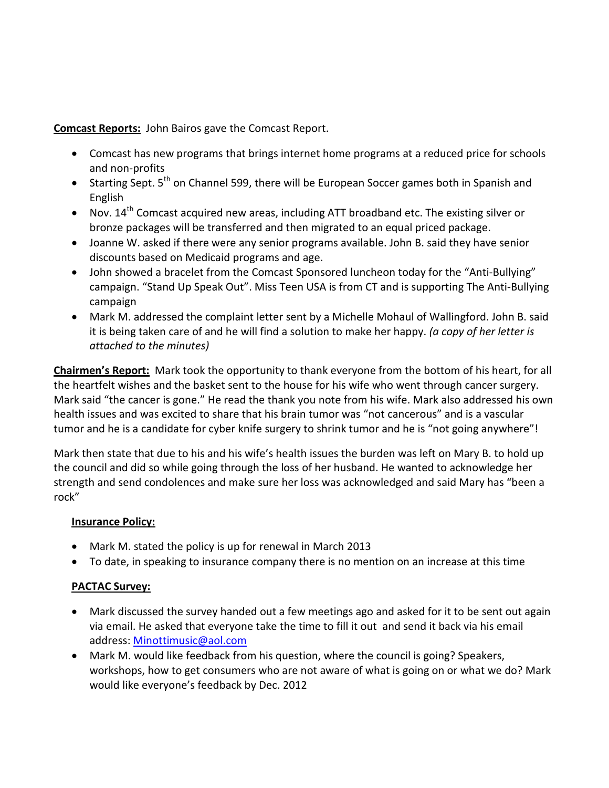**Comcast Reports:** John Bairos gave the Comcast Report.

- Comcast has new programs that brings internet home programs at a reduced price for schools and non-profits
- Starting Sept. 5<sup>th</sup> on Channel 599, there will be European Soccer games both in Spanish and English
- Nov.  $14^{th}$  Comcast acquired new areas, including ATT broadband etc. The existing silver or bronze packages will be transferred and then migrated to an equal priced package.
- Joanne W. asked if there were any senior programs available. John B. said they have senior discounts based on Medicaid programs and age.
- John showed a bracelet from the Comcast Sponsored luncheon today for the "Anti-Bullying" campaign. "Stand Up Speak Out". Miss Teen USA is from CT and is supporting The Anti-Bullying campaign
- Mark M. addressed the complaint letter sent by a Michelle Mohaul of Wallingford. John B. said it is being taken care of and he will find a solution to make her happy. *(a copy of her letter is attached to the minutes)*

**Chairmen's Report:** Mark took the opportunity to thank everyone from the bottom of his heart, for all the heartfelt wishes and the basket sent to the house for his wife who went through cancer surgery. Mark said "the cancer is gone." He read the thank you note from his wife. Mark also addressed his own health issues and was excited to share that his brain tumor was "not cancerous" and is a vascular tumor and he is a candidate for cyber knife surgery to shrink tumor and he is "not going anywhere"!

Mark then state that due to his and his wife's health issues the burden was left on Mary B. to hold up the council and did so while going through the loss of her husband. He wanted to acknowledge her strength and send condolences and make sure her loss was acknowledged and said Mary has "been a rock"

# **Insurance Policy:**

- Mark M. stated the policy is up for renewal in March 2013
- To date, in speaking to insurance company there is no mention on an increase at this time

# **PACTAC Survey:**

- Mark discussed the survey handed out a few meetings ago and asked for it to be sent out again via email. He asked that everyone take the time to fill it out and send it back via his email address: Minottimusic@aol.com
- Mark M. would like feedback from his question, where the council is going? Speakers, workshops, how to get consumers who are not aware of what is going on or what we do? Mark would like everyone's feedback by Dec. 2012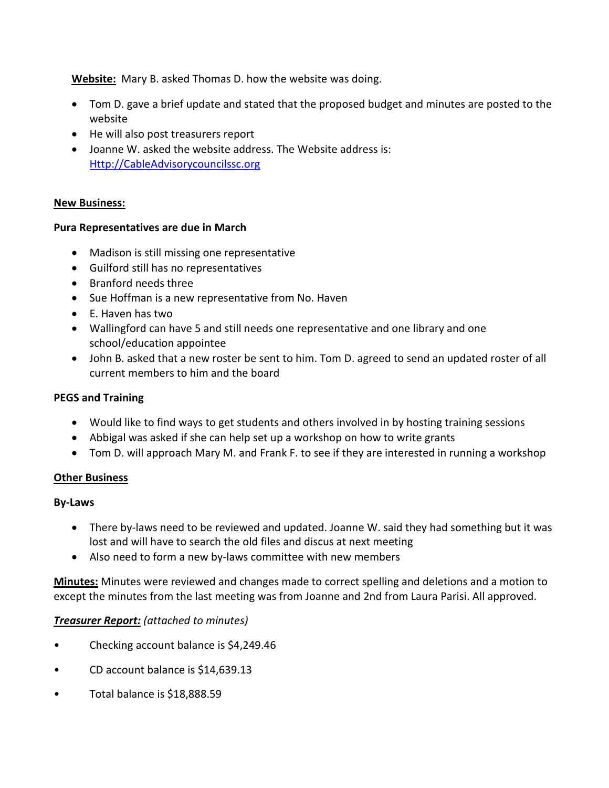**Website:** Mary B. asked Thomas D. how the website was doing.

- Tom D. gave a brief update and stated that the proposed budget and minutes are posted to the website
- He will also post treasurers report
- Joanne W. asked the website address. The Website address is: Http://CableAdvisorycouncilssc.org

#### **New Business:**

#### **Pura Representatives are due in March**

- Madison is still missing one representative
- Guilford still has no representatives
- Branford needs three
- Sue Hoffman is a new representative from No. Haven
- E. Haven has two
- Wallingford can have 5 and still needs one representative and one library and one school/education appointee
- John B. asked that a new roster be sent to him. Tom D. agreed to send an updated roster of all current members to him and the board

#### **PEGS and Training**

- Would like to find ways to get students and others involved in by hosting training sessions
- Abbigal was asked if she can help set up a workshop on how to write grants
- Tom D. will approach Mary M. and Frank F. to see if they are interested in running a workshop

#### **Other Business**

#### **By-Laws**

- There by-laws need to be reviewed and updated. Joanne W. said they had something but it was lost and will have to search the old files and discus at next meeting
- Also need to form a new by-laws committee with new members

**Minutes:** Minutes were reviewed and changes made to correct spelling and deletions and a motion to except the minutes from the last meeting was from Joanne and 2nd from Laura Parisi. All approved.

#### *Treasurer Report: (attached to minutes)*

- Checking account balance is \$4,249.46
- CD account balance is \$14,639.13
- Total balance is \$18,888.59